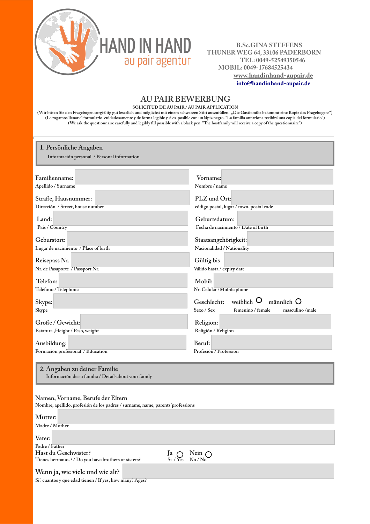

 **B.Sc.GINA STEFFENS THUNER WEG 64, 33106 PADERBORN TEL: 0049-52549350546 MOBIL: 0049-17684525434 www.handinhand-aupair.de [info@handinhand-aupair.de](mailto:info@handinhand-aupair.de)**

## **AU PAIR BEWERBUNG**<br>solicitud de au pair / au pair application

**SOLICITUD DE AU PAIR / AU PAIR APPLICATION (Wir bitten Sie den Fragebogen sorgfältig gut leserlich und möglichst mit einem schwarzen Stift auszufüllen. "Die Gastfamilie bekommt eine Kopie des Fragebogens") (Le rogamos llenar el formulario cuidadosamente y de forma legible y si es posible con un lápiz negro. "La familia anfitriona recibirá una copia del formulario") (We ask the questionnaire carefully and legibly fill possible with a black pen. "The hostfamily will receive a copy of the questionnaire")**

| 1. Persönliche Angaben<br>Información personal / Personal information |                                                         |
|-----------------------------------------------------------------------|---------------------------------------------------------|
| Familienname:                                                         | Vorname:                                                |
| Apellido / Surname                                                    | Nombre / name                                           |
| Straße, Hausnummer:                                                   | PLZ und Ort:                                            |
| Dirección / Street, house number                                      | código postal, lugar / town, postal code                |
| Land:                                                                 | Geburtsdatum:                                           |
| País / Country                                                        | Fecha de nacimiento / Date of birth                     |
| Geburstort:                                                           | Staatsangehörigkeit:                                    |
| Lugar de nacimiento / Place of birth                                  | Nacionalidad / Nationality                              |
| Reisepass Nr.                                                         | Gültig bis                                              |
| Nr. de Pasaporte 7 Passport Nr.                                       | Válido hasta / expiry date                              |
| Telefon:                                                              | Mobil:                                                  |
| Teléfono / Telephone                                                  | Nr. Celular /Mobile phone                               |
| Skype:                                                                | weiblich $\mathsf{O}$<br>$m$ ännlich $O$<br>Geschlecht: |
| Skype                                                                 | Sexo / Sex<br>femenino / female<br>masculino/male       |
| Große / Gewicht:                                                      | Religion:                                               |
| Estatura , Height / Peso, weight                                      | Religión / Religion                                     |
| Ausbildung:                                                           | Beruf:                                                  |
| Formación profesional / Education                                     | Profesión / Profession                                  |
|                                                                       |                                                         |

**2. Angaben zu deiner Familie Información de su familia / Detailsabout your family**

## **Namen, Vorname, Berufe der Eltern**

**Nombre, apellido, profesión de los padres / surname, name, parents´professions**

| Mutter:                                                 |                            |
|---------------------------------------------------------|----------------------------|
| Madre / Mother                                          |                            |
| Vater:                                                  |                            |
| Padre / Father                                          |                            |
| Hast du Geschwister?                                    | $Ja \nSi / Yes \nNein \nO$ |
| Tienes hermanos? / Do you have brothers or sisters?     |                            |
| Wenn ja, wie viele und wie alt?                         |                            |
| Si? cuantos y que edad tienen / If yes, how many? Ages? |                            |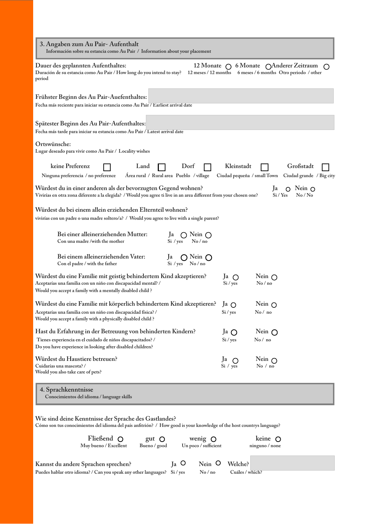| 3. Angaben zum Au Pair-Aufenthalt<br>Información sobre su estancia como Au Pair / Information about your placement                                                                               |                             |                                                                                                                         |                                       |
|--------------------------------------------------------------------------------------------------------------------------------------------------------------------------------------------------|-----------------------------|-------------------------------------------------------------------------------------------------------------------------|---------------------------------------|
| Dauer des geplannten Aufenthaltes:<br>Duración de su estancia como Au Pair / How long do you intend to stay?<br>period                                                                           |                             | 12 Monate $\bigcap$ 6 Monate $\bigcap$ Anderer Zeitraum<br>12 meses / 12 months 6 meses / 6 months Otro periodo / other |                                       |
| Frühster Beginn des Au Pair-Auefenthaltes:<br>Fecha más reciente para iniciar su estancia como Au Pair / Earliest arrival date                                                                   |                             |                                                                                                                         |                                       |
| Spätester Beginn des Au Pair-Aufenthaltes:<br>Fecha más tarde para iniciar su estancia como Au Pair / Latest arrival date                                                                        |                             |                                                                                                                         |                                       |
| Ortswünsche:<br>Lugar deseado para vivir como Au Pair / Locality wishes                                                                                                                          |                             |                                                                                                                         |                                       |
| keine Preferenz<br>Dorf<br>Land<br>Area rural / Rural area Pueblo / village<br>Ninguna preferencia / no preference                                                                               | Kleinstadt                  | Ciudad pequeña / small Town                                                                                             | Großstadt<br>Ciudad grande / Big city |
| Würdest du in einer anderen als der bevorzugten Gegend wohnen?<br>Vivirías en otra zona diferente a la elegida? / Would you agree ti live in an area different from your chosen one?             |                             | Ja<br>Si / Yes                                                                                                          | Nein $\bigcirc$<br>No/No              |
| Würdest du bei einem allein erziehenden Elternteil wohnen?<br>vivirías con un padre o una madre soltero/a? / Would you agree to live with a single parent?                                       |                             |                                                                                                                         |                                       |
| Bei einer alleinerziehenden Mutter:<br>Ja<br>$\bigcap$ Nein $\bigcap$<br>Con una madre/with the mother<br>No/no<br>Si / yes                                                                      |                             |                                                                                                                         |                                       |
| Bei einem alleinerziehenden Vater:<br>$\bigcap$ Nein $\bigcap$<br>Ja<br>Con el padre / with the father<br>$Si$ / yes No / no                                                                     |                             |                                                                                                                         |                                       |
| Würdest du eine Familie mit geistig behindertem Kind akzeptieren?<br>Aceptarías una familia con un niño con discapacidad mental? /<br>Would you accept a family with a mentally disabled child ? | Ja $\bigcirc$<br>$Si$ / yes | Nein $\bigcap$<br>No/no                                                                                                 |                                       |
| Würdest du eine Familie mit körperlich behindertem Kind akzeptieren?                                                                                                                             | Ja O                        | Nein $\bigcirc$                                                                                                         |                                       |
| Aceptarías una familia con un niño con discapacidad física? /<br>Would you accept a family with a physically disabled child ?                                                                    | Si / yes                    | No/no                                                                                                                   |                                       |
| Hast du Erfahrung in der Betreuung von behinderten Kindern?                                                                                                                                      | Ja $\bigcap$                | Nein $\bigcap$                                                                                                          |                                       |
| Tienes experiencia en el cuidado de niños discapacitados? /<br>Do you have experience in looking after disabled children?                                                                        | $Si$ / yes                  | No/no                                                                                                                   |                                       |
| Würdest du Haustiere betreuen?<br>Cuidarías una mascota? /<br>Would you also take care of pets?                                                                                                  | Ja $\bigcap$<br>Si / yes    | Nein $\bigcap$<br>No / no                                                                                               |                                       |
| 4. Sprachkenntnisse<br>Conocimientos del idioma / language skills                                                                                                                                |                             |                                                                                                                         |                                       |
| Wie sind deine Kenntnisse der Sprache des Gastlandes?<br>Cómo son tus conocimientos del idioma del país anfitrión? / How good is your knowledge of the host countrys language?                   |                             |                                                                                                                         |                                       |
| Fließend $\bigcirc$<br>wenig $\bigcirc$<br>gut $\bigcirc$<br>Muy bueno / Excellent<br>Un poco / sufficient<br>Bueno / good                                                                       |                             | keine $\bigcirc$<br>ninguno / none                                                                                      |                                       |

| Kannst du andere Sprachen sprechen?                                              | $I_a$ O | Nein O Welche? |                 |
|----------------------------------------------------------------------------------|---------|----------------|-----------------|
| Puedes hablar otro idioma? / Can you speak any other languages? Si / yes No / no |         |                | Cuáles / which? |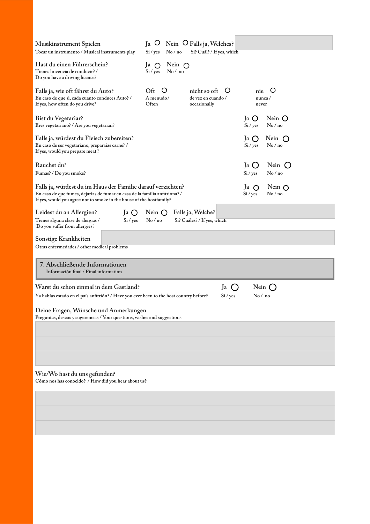| Musikinstrument Spielen<br>Tocar un instrumento / Musical instruments play                                                                                                                                         | $I_a$ O<br>Nein $\bigcirc$ Falls ja, Welches?<br>Si / yes<br>No/no          | Si? Cuál? / If yes, which                                      |                          |  |  |
|--------------------------------------------------------------------------------------------------------------------------------------------------------------------------------------------------------------------|-----------------------------------------------------------------------------|----------------------------------------------------------------|--------------------------|--|--|
| Hast du einen Führerschein?<br>Tienes lincencia de conducir? /<br>Do you have a driving licence?                                                                                                                   | Nein $\bigcap$<br>Ja $\bigcirc$<br>Si / yes<br>No/no                        |                                                                |                          |  |  |
| Falls ja, wie oft fährst du Auto?<br>En caso de que si, cada cuanto conduces Auto? /<br>If yes, how often do you drive?                                                                                            | $\circ$<br>Oft<br>A menudo/<br>Often                                        | nicht so oft<br>Ő<br>nie<br>de vez en cuando /<br>occasionally | O<br>$n$ unca /<br>never |  |  |
| Bist du Vegetariar?<br>Eres vegetariano? / Are you vegetarian?                                                                                                                                                     |                                                                             | Ja O<br>$Si$ / yes                                             | Nein Q<br>No/no          |  |  |
| Falls ja, würdest du Fleisch zubereiten?<br>En caso de ser vegetariano, preparaías carne? /<br>If yes, would you prepare meat?                                                                                     |                                                                             | Ja O<br>Si / yes                                               | Nein $\bigcirc$<br>No/no |  |  |
| Rauchst du?<br>Fumas? / Do you smoke?                                                                                                                                                                              |                                                                             | Ja<br>$\bigcirc$<br>$Si$ / yes                                 | Nein $()$<br>No/no       |  |  |
| Falls ja, würdest du im Haus der Familie darauf verzichten?<br>En caso de que fumes, dejarias de fumar en casa de la familia anfitriona? /<br>If yes, would you agree not to smoke in the house of the hostfamily? |                                                                             | Ja<br>$\Omega$<br>$Si$ / yes                                   | Nein $\bigcap$<br>No/no  |  |  |
| Leidest du an Allergien?<br>Ja O<br>Tienes alguna clase de alergias /<br>$Si$ / yes<br>Do you suffer from allergies?                                                                                               | Falls ja, Welche?<br>Nein $\bigcap$<br>No/no<br>Si? Cuáles? / If yes, which |                                                                |                          |  |  |
| Sonstige Krankheiten<br>Otras enfermedades / other medical problems                                                                                                                                                |                                                                             |                                                                |                          |  |  |
| 7. Abschließende Informationen<br>Información final / Final information                                                                                                                                            |                                                                             |                                                                |                          |  |  |
| Warst du schon einmal in dem Gastland?<br>Ya habías estado en el país anfitrión? / Have you ever been to the host country before?                                                                                  |                                                                             | Ja<br>$\left( \quad \right)$<br>$Si$ / yes                     | Nein $\big($ )<br>No/no  |  |  |
| Deine Fragen, Wünsche und Anmerkungen<br>Preguntas, deseos y sugerencias / Your questions, wishes and suggestions                                                                                                  |                                                                             |                                                                |                          |  |  |
|                                                                                                                                                                                                                    |                                                                             |                                                                |                          |  |  |
|                                                                                                                                                                                                                    |                                                                             |                                                                |                          |  |  |
| Wie/Wo hast du uns gefunden?<br>Cómo nos has conocido? / How did you hear about us?                                                                                                                                |                                                                             |                                                                |                          |  |  |
|                                                                                                                                                                                                                    |                                                                             |                                                                |                          |  |  |
|                                                                                                                                                                                                                    |                                                                             |                                                                |                          |  |  |